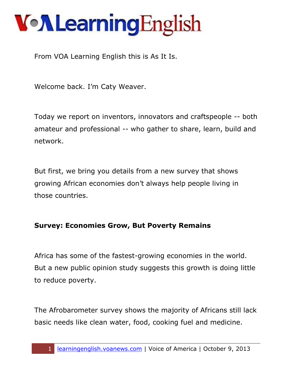From VOA Learning English this is As It Is.

Welcome back. I'm Caty Weaver.

Today we report on inventors, innovators and craftspeople -- both amateur and professional -- who gather to share, learn, build and network.

But first, we bring you details from a new survey that shows growing African economies don't always help people living in those countries.

#### **Survey: Economies Grow, But Poverty Remains**

Africa has some of the fastest-growing economies in the world. But a new public opinion study suggests this growth is doing little to reduce poverty.

The Afrobarometer survey shows the majority of Africans still lack basic needs like clean water, food, cooking fuel and medicine.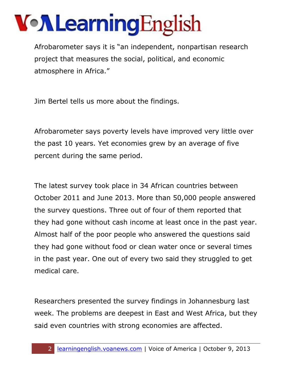Afrobarometer says it is "an independent, nonpartisan research project that measures the social, political, and economic atmosphere in Africa."

Jim Bertel tells us more about the findings.

Afrobarometer says poverty levels have improved very little over the past 10 years. Yet economies grew by an average of five percent during the same period.

The latest survey took place in 34 African countries between October 2011 and June 2013. More than 50,000 people answered the survey questions. Three out of four of them reported that they had gone without cash income at least once in the past year. Almost half of the poor people who answered the questions said they had gone without food or clean water once or several times in the past year. One out of every two said they struggled to get medical care.

Researchers presented the survey findings in Johannesburg last week. The problems are deepest in East and West Africa, but they said even countries with strong economies are affected.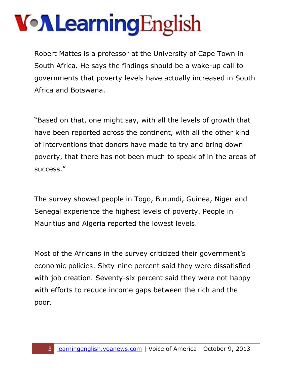Robert Mattes is a professor at the University of Cape Town in South Africa. He says the findings should be a wake-up call to governments that poverty levels have actually increased in South Africa and Botswana.

"Based on that, one might say, with all the levels of growth that have been reported across the continent, with all the other kind of interventions that donors have made to try and bring down poverty, that there has not been much to speak of in the areas of success."

The survey showed people in Togo, Burundi, Guinea, Niger and Senegal experience the highest levels of poverty. People in Mauritius and Algeria reported the lowest levels.

Most of the Africans in the survey criticized their government's economic policies. Sixty-nine percent said they were dissatisfied with job creation. Seventy-six percent said they were not happy with efforts to reduce income gaps between the rich and the poor.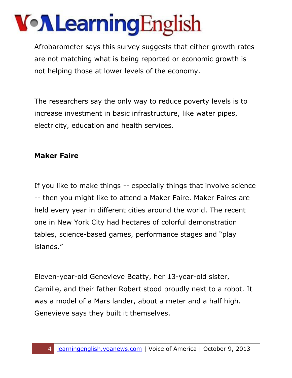# VollearningEnglish

Afrobarometer says this survey suggests that either growth rates are not matching what is being reported or economic growth is not helping those at lower levels of the economy.

The researchers say the only way to reduce poverty levels is to increase investment in basic infrastructure, like water pipes, electricity, education and health services.

#### **Maker Faire**

If you like to make things -- especially things that involve science -- then you might like to attend a Maker Faire. Maker Faires are held every year in different cities around the world. The recent one in New York City had hectares of colorful demonstration tables, science-based games, performance stages and "play islands."

Eleven-year-old Genevieve Beatty, her 13-year-old sister, Camille, and their father Robert stood proudly next to a robot. It was a model of a Mars lander, about a meter and a half high. Genevieve says they built it themselves.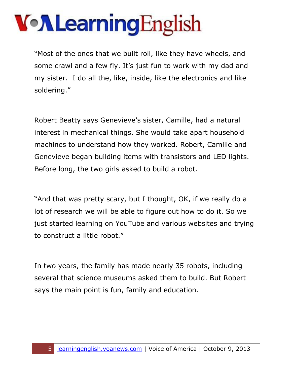"Most of the ones that we built roll, like they have wheels, and some crawl and a few fly. It's just fun to work with my dad and my sister. I do all the, like, inside, like the electronics and like soldering."

Robert Beatty says Genevieve's sister, Camille, had a natural interest in mechanical things. She would take apart household machines to understand how they worked. Robert, Camille and Genevieve began building items with transistors and LED lights. Before long, the two girls asked to build a robot.

"And that was pretty scary, but I thought, OK, if we really do a lot of research we will be able to figure out how to do it. So we just started learning on YouTube and various websites and trying to construct a little robot."

In two years, the family has made nearly 35 robots, including several that science museums asked them to build. But Robert says the main point is fun, family and education.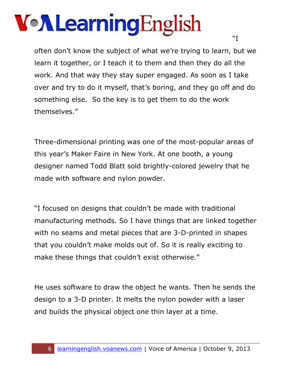# VollearningEnglish

often don't know the subject of what we're trying to learn, but we learn it together, or I teach it to them and then they do all the work. And that way they stay super engaged. As soon as I take over and try to do it myself, that's boring, and they go off and do something else. So the key is to get them to do the work themselves."

Three-dimensional printing was one of the most-popular areas of this year's Maker Faire in New York. At one booth, a young designer named Todd Blatt sold brightly-colored jewelry that he made with software and nylon powder.

"I focused on designs that couldn't be made with traditional manufacturing methods. So I have things that are linked together with no seams and metal pieces that are 3-D-printed in shapes that you couldn't make molds out of. So it is really exciting to make these things that couldn't exist otherwise."

He uses software to draw the object he wants. Then he sends the design to a 3-D printer. It melts the nylon powder with a laser and builds the physical object one thin layer at a time.